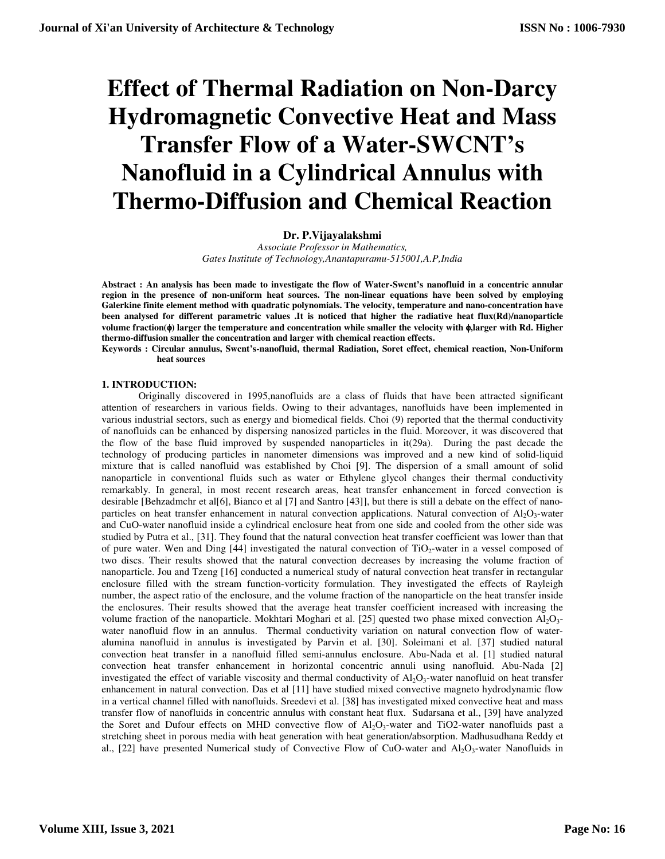# **Effect of Thermal Radiation on Non-Darcy Hydromagnetic Convective Heat and Mass Transfer Flow of a Water-SWCNT's Nanofluid in a Cylindrical Annulus with Thermo-Diffusion and Chemical Reaction**

# **Dr. P.Vijayalakshmi**

*Associate Professor in Mathematics, Gates Institute of Technology,Anantapuramu-515001,A.P,India* 

**Abstract : An analysis has been made to investigate the flow of Water-Swcnt's nanofluid in a concentric annular region in the presence of non-uniform heat sources. The non-linear equations have been solved by employing Galerkine finite element method with quadratic polynomials. The velocity, temperature and nano-concentration have been analysed for different parametric values .It is noticed that higher the radiative heat flux(Rd)/nanoparticle volume fraction(**φ**) larger the temperature and concentration while smaller the velocity with** φ**,larger with Rd. Higher thermo-diffusion smaller the concentration and larger with chemical reaction effects.** 

**Keywords : Circular annulus, Swcnt's-nanofluid, thermal Radiation, Soret effect, chemical reaction, Non-Uniform heat sources** 

## **1. INTRODUCTION:**

 Originally discovered in 1995,nanofluids are a class of fluids that have been attracted significant attention of researchers in various fields. Owing to their advantages, nanofluids have been implemented in various industrial sectors, such as energy and biomedical fields. Choi (9) reported that the thermal conductivity of nanofluids can be enhanced by dispersing nanosized particles in the fluid. Moreover, it was discovered that the flow of the base fluid improved by suspended nanoparticles in  $it(29a)$ . During the past decade the technology of producing particles in nanometer dimensions was improved and a new kind of solid-liquid mixture that is called nanofluid was established by Choi [9]. The dispersion of a small amount of solid nanoparticle in conventional fluids such as water or Ethylene glycol changes their thermal conductivity remarkably. In general, in most recent research areas, heat transfer enhancement in forced convection is desirable [Behzadmchr et al[6], Bianco et al [7] and Santro [43]], but there is still a debate on the effect of nanoparticles on heat transfer enhancement in natural convection applications. Natural convection of  $A_1O_3$ -water and CuO-water nanofluid inside a cylindrical enclosure heat from one side and cooled from the other side was studied by Putra et al., [31]. They found that the natural convection heat transfer coefficient was lower than that of pure water. Wen and Ding [44] investigated the natural convection of TiO2-water in a vessel composed of two discs. Their results showed that the natural convection decreases by increasing the volume fraction of nanoparticle. Jou and Tzeng [16] conducted a numerical study of natural convection heat transfer in rectangular enclosure filled with the stream function-vorticity formulation. They investigated the effects of Rayleigh number, the aspect ratio of the enclosure, and the volume fraction of the nanoparticle on the heat transfer inside the enclosures. Their results showed that the average heat transfer coefficient increased with increasing the volume fraction of the nanoparticle. Mokhtari Moghari et al. [25] quested two phase mixed convection  $Al_2O_3$ water nanofluid flow in an annulus. Thermal conductivity variation on natural convection flow of wateralumina nanofluid in annulus is investigated by Parvin et al. [30]. Soleimani et al. [37] studied natural convection heat transfer in a nanofluid filled semi-annulus enclosure. Abu-Nada et al. [1] studied natural convection heat transfer enhancement in horizontal concentric annuli using nanofluid. Abu-Nada [2] investigated the effect of variable viscosity and thermal conductivity of  $Al_2O_3$ -water nanofluid on heat transfer enhancement in natural convection. Das et al [11] have studied mixed convective magneto hydrodynamic flow in a vertical channel filled with nanofluids. Sreedevi et al. [38] has investigated mixed convective heat and mass transfer flow of nanofluids in concentric annulus with constant heat flux. Sudarsana et al., [39] have analyzed the Soret and Dufour effects on MHD convective flow of  $A<sub>1</sub>, O<sub>3</sub>$ -water and TiO2-water nanofluids past a stretching sheet in porous media with heat generation with heat generation/absorption. Madhusudhana Reddy et al.,  $[22]$  have presented Numerical study of Convective Flow of CuO-water and  $Al_2O_3$ -water Nanofluids in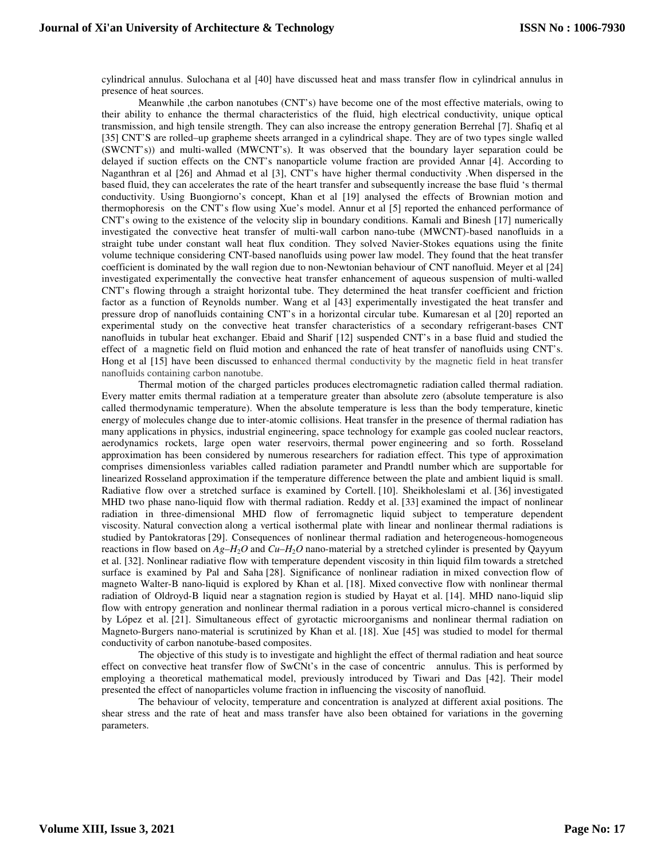cylindrical annulus. Sulochana et al [40] have discussed heat and mass transfer flow in cylindrical annulus in presence of heat sources.

 Meanwhile ,the carbon nanotubes (CNT's) have become one of the most effective materials, owing to their ability to enhance the thermal characteristics of the fluid, high electrical conductivity, unique optical transmission, and high tensile strength. They can also increase the entropy generation Berrehal [7]. Shafiq et al [35] CNT'S are rolled–up grapheme sheets arranged in a cylindrical shape. They are of two types single walled (SWCNT's)) and multi-walled (MWCNT's). It was observed that the boundary layer separation could be delayed if suction effects on the CNT's nanoparticle volume fraction are provided Annar [4]. According to Naganthran et al [26] and Ahmad et al [3], CNT's have higher thermal conductivity .When dispersed in the based fluid, they can accelerates the rate of the heart transfer and subsequently increase the base fluid 's thermal conductivity. Using Buongiorno's concept, Khan et al [19] analysed the effects of Brownian motion and thermophoresis on the CNT's flow using Xue's model. Annur et al [5] reported the enhanced performance of CNT's owing to the existence of the velocity slip in boundary conditions. Kamali and Binesh [17] numerically investigated the convective heat transfer of multi-wall carbon nano-tube (MWCNT)-based nanofluids in a straight tube under constant wall heat flux condition. They solved Navier-Stokes equations using the finite volume technique considering CNT-based nanofluids using power law model. They found that the heat transfer coefficient is dominated by the wall region due to non-Newtonian behaviour of CNT nanofluid. Meyer et al [24] investigated experimentally the convective heat transfer enhancement of aqueous suspension of multi-walled CNT's flowing through a straight horizontal tube. They determined the heat transfer coefficient and friction factor as a function of Reynolds number. Wang et al [43] experimentally investigated the heat transfer and pressure drop of nanofluids containing CNT's in a horizontal circular tube. Kumaresan et al [20] reported an experimental study on the convective heat transfer characteristics of a secondary refrigerant-bases CNT nanofluids in tubular heat exchanger. Ebaid and Sharif [12] suspended CNT's in a base fluid and studied the effect of a magnetic field on fluid motion and enhanced the rate of heat transfer of nanofluids using CNT's. Hong et al [15] have been discussed to enhanced thermal conductivity by the magnetic field in heat transfer nanofluids containing carbon nanotube.

Thermal motion of the charged particles produces electromagnetic radiation called thermal radiation. Every matter emits thermal radiation at a temperature greater than absolute zero (absolute temperature is also called thermodynamic temperature). When the absolute temperature is less than the body temperature, kinetic energy of molecules change due to inter-atomic collisions. Heat transfer in the presence of thermal radiation has many applications in physics, industrial engineering, space technology for example gas cooled nuclear reactors, aerodynamics rockets, large open water reservoirs, thermal power engineering and so forth. Rosseland approximation has been considered by numerous researchers for radiation effect. This type of approximation comprises dimensionless variables called radiation parameter and Prandtl number which are supportable for linearized Rosseland approximation if the temperature difference between the plate and ambient liquid is small. Radiative flow over a stretched surface is examined by Cortell. [10]. Sheikholeslami et al. [36] investigated MHD two phase nano-liquid flow with thermal radiation. Reddy et al. [33] examined the impact of nonlinear radiation in three-dimensional MHD flow of ferromagnetic liquid subject to temperature dependent viscosity. Natural convection along a vertical isothermal plate with linear and nonlinear thermal radiations is studied by Pantokratoras [29]. Consequences of nonlinear thermal radiation and heterogeneous-homogeneous reactions in flow based on *Ag*–*H*2*O* and *Cu*–*H*2*O* nano-material by a stretched cylinder is presented by Qayyum et al. [32]. Nonlinear radiative flow with temperature dependent viscosity in thin liquid film towards a stretched surface is examined by Pal and Saha [28]. Significance of nonlinear radiation in mixed convection flow of magneto Walter-B nano-liquid is explored by Khan et al. [18]. Mixed convective flow with nonlinear thermal radiation of Oldroyd-B liquid near a stagnation region is studied by Hayat et al. [14]. MHD nano-liquid slip flow with entropy generation and nonlinear thermal radiation in a porous vertical micro-channel is considered by López et al. [21]. Simultaneous effect of gyrotactic microorganisms and nonlinear thermal radiation on Magneto-Burgers nano-material is scrutinized by Khan et al. [18]. Xue [45] was studied to model for thermal conductivity of carbon nanotube-based composites.

 The objective of this study is to investigate and highlight the effect of thermal radiation and heat source effect on convective heat transfer flow of SwCNt's in the case of concentric annulus. This is performed by employing a theoretical mathematical model, previously introduced by Tiwari and Das [42]. Their model presented the effect of nanoparticles volume fraction in influencing the viscosity of nanofluid.

The behaviour of velocity, temperature and concentration is analyzed at different axial positions. The shear stress and the rate of heat and mass transfer have also been obtained for variations in the governing parameters.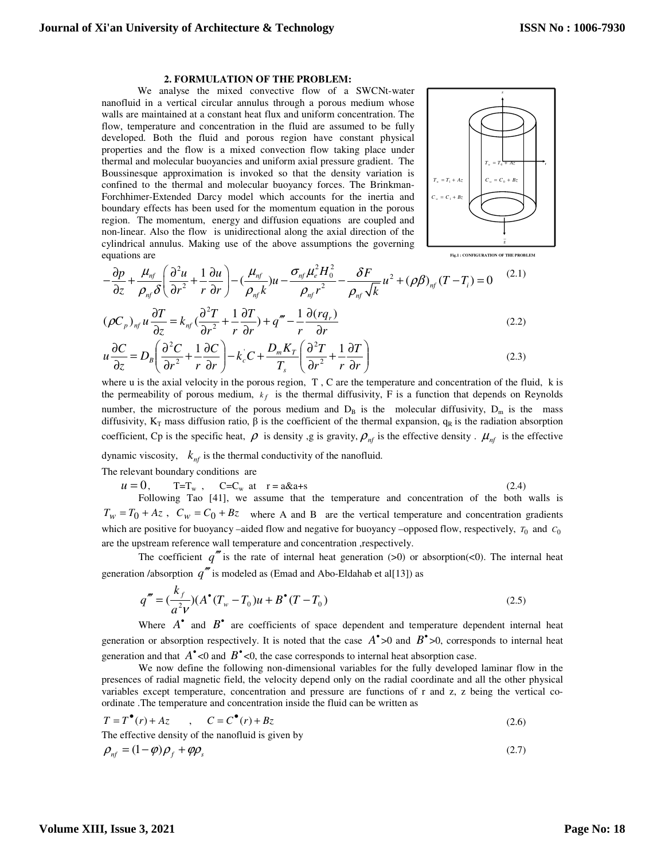#### **2. FORMULATION OF THE PROBLEM:**

 We analyse the mixed convective flow of a SWCNt-water nanofluid in a vertical circular annulus through a porous medium whose walls are maintained at a constant heat flux and uniform concentration. The flow, temperature and concentration in the fluid are assumed to be fully developed. Both the fluid and porous region have constant physical properties and the flow is a mixed convection flow taking place under thermal and molecular buoyancies and uniform axial pressure gradient. The Boussinesque approximation is invoked so that the density variation is confined to the thermal and molecular buoyancy forces. The Brinkman-Forchhimer-Extended Darcy model which accounts for the inertia and boundary effects has been used for the momentum equation in the porous region. The momentum, energy and diffusion equations are coupled and non-linear. Also the flow is unidirectional along the axial direction of the cylindrical annulus. Making use of the above assumptions the governing equations are



$$
-\frac{\partial p}{\partial z} + \frac{\mu_{nf}}{\rho_{nf} \delta} \left( \frac{\partial^2 u}{\partial r^2} + \frac{1}{r} \frac{\partial u}{\partial r} \right) - \left( \frac{\mu_{nf}}{\rho_{nf} k} \right) u - \frac{\sigma_{nf} \mu_e^2 H_0^2}{\rho_{nf} r^2} - \frac{\delta F}{\rho_{nf} \sqrt{k}} u^2 + (\rho \beta)_{nf} (T - T_i) = 0 \tag{2.1}
$$
\n
$$
(\rho C_p)_{nf} u \frac{\partial T}{\partial z} = k_{nf} \left( \frac{\partial^2 T}{\partial r^2} + \frac{1}{r} \frac{\partial T}{\partial r} \right) + q'' - \frac{1}{r} \frac{\partial (rq_r)}{\partial r}
$$
\n
$$
\frac{\partial C}{\partial c} = \left( \frac{\partial^2 C}{\partial r^2} + \frac{1}{r} \frac{\partial C}{\partial r} \right) + \frac{1}{r} \frac{\partial T}{\partial r} \left( \frac{\partial^2 T}{\partial r^2} + \frac{1}{r} \frac{\partial T}{\partial r} \right) \tag{2.2}
$$

$$
u\frac{\partial C}{\partial z} = D_B \left( \frac{\partial^2 C}{\partial r^2} + \frac{1}{r} \frac{\partial C}{\partial r} \right) - k_c C + \frac{D_m K_T}{T_s} \left( \frac{\partial^2 T}{\partial r^2} + \frac{1}{r} \frac{\partial T}{\partial r} \right)
$$
(2.3)

where u is the axial velocity in the porous region,  $T$ ,  $C$  are the temperature and concentration of the fluid,  $k$  is the permeability of porous medium,  $k_f$  is the thermal diffusivity, F is a function that depends on Reynolds number, the microstructure of the porous medium and  $D_B$  is the molecular diffusivity,  $D_m$  is the mass diffusivity, K<sub>T</sub> mass diffusion ratio,  $\beta$  is the coefficient of the thermal expansion,  $q_R$  is the radiation absorption coefficient, Cp is the specific heat,  $\rho$  is density ,g is gravity,  $\rho_{nf}$  is the effective density .  $\mu_{nf}$  is the effective dynamic viscosity,  $k_{nf}$  is the thermal conductivity of the nanofluid.

The relevant boundary conditions are

 $u = 0$ ,  $T = T_w$ ,  $C = C_w$  at  $r = a\&a+s$  (2.4)

Following Tao [41], we assume that the temperature and concentration of the both walls is  $T_w = T_0 + Az$ ,  $C_w = C_0 + Bz$  where A and B are the vertical temperature and concentration gradients which are positive for buoyancy –aided flow and negative for buoyancy –opposed flow, respectively,  $T_0$  and  $C_0$ are the upstream reference wall temperature and concentration ,respectively.

The coefficient  $q''$  is the rate of internal heat generation (>0) or absorption(<0). The internal heat generation /absorption *q*′′′ is modeled as (Emad and Abo-Eldahab et al[13]) as

$$
q''' = (\frac{k_f}{a^2 \nu})(A^{\bullet}(T_w - T_0)u + B^{\bullet}(T - T_0))
$$
\n(2.5)

Where  $A^{\bullet}$  and  $B^{\bullet}$  are coefficients of space dependent and temperature dependent internal heat generation or absorption respectively. It is noted that the case  $A^{\bullet} > 0$  and  $B^{\bullet} > 0$ , corresponds to internal heat generation and that  $A^{\bullet}$ <0 and  $B^{\bullet}$ <0, the case corresponds to internal heat absorption case.

We now define the following non-dimensional variables for the fully developed laminar flow in the presences of radial magnetic field, the velocity depend only on the radial coordinate and all the other physical variables except temperature, concentration and pressure are functions of r and z, z being the vertical coordinate .The temperature and concentration inside the fluid can be written as

$$
T = T^{\bullet}(r) + Az \qquad , \qquad C = C^{\bullet}(r) + Bz \tag{2.6}
$$

The effective density of the nanofluid is given by

$$
\rho_{nf} = (1 - \varphi)\rho_f + \varphi\rho_s \tag{2.7}
$$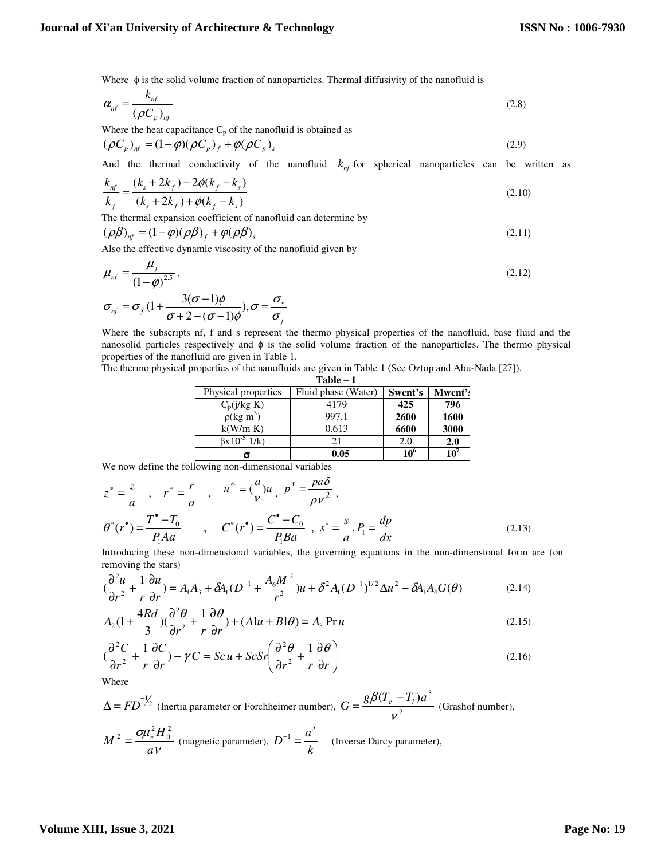Where φ is the solid volume fraction of nanoparticles. Thermal diffusivity of the nanofluid is

$$
\alpha_{nf} = \frac{k_{nf}}{(\rho C_p)_{nf}}
$$
\n(2.8)

Where the heat capacitance  $C_p$  of the nanofluid is obtained as

$$
(\rho C_p)_{nf} = (1 - \varphi)(\rho C_p)_f + \varphi(\rho C_p)_s
$$
\n(2.9)

And the thermal conductivity of the nanofluid  $k_{nf}$  for spherical nanoparticles can be written as

$$
\frac{k_{nf}}{k_f} = \frac{(k_s + 2k_f) - 2\phi(k_f - k_s)}{(k_s + 2k_f) + \phi(k_f - k_s)}
$$
\n(2.10)

The thermal expansion coefficient of nanofluid can determine by

$$
(\rho \beta)_{nf} = (1 - \varphi)(\rho \beta)_f + \varphi(\rho \beta)_s
$$
\n(2.11)

Also the effective dynamic viscosity of the nanofluid given by

$$
\mu_{nf} = \frac{\mu_f}{(1-\varphi)^{2.5}},
$$
\n(2.12)

$$
\sigma_{nf} = \sigma_f \left(1 + \frac{3(\sigma - 1)\phi}{\sigma + 2 - (\sigma - 1)\phi}\right), \sigma = \frac{\sigma_s}{\sigma_f}
$$

Where the subscripts nf, f and s represent the thermo physical properties of the nanofluid, base fluid and the nanosolid particles respectively and  $\phi$  is the solid volume fraction of the nanoparticles. The thermo physical properties of the nanofluid are given in Table 1.

The thermo physical properties of the nanofluids are given in Table 1 (See Oztop and Abu-Nada [27]).

#### **Table – 1**

| Physical properties    | Fluid phase (Water) | Swent's         | Mwcnt's |
|------------------------|---------------------|-----------------|---------|
| $C_p(j/kg K)$          | 4179                | 425             | 796     |
| $\rho(\text{kg m}^3)$  | 997.1               | 2600            | 1600    |
| k(W/m K)               | 0.613               | 6600            | 3000    |
| $\beta x 10^{-5}$ 1/k) | 21                  | 2.0             | 2.0     |
| σ                      | 0.05                | 10 <sup>6</sup> | $10^7$  |

We now define the following non-dimensional variables

$$
z^* = \frac{z}{a} , r^* = \frac{r}{a} , u^* = (\frac{a}{v})u , p^* = \frac{pa\delta}{\rho v^2} ,
$$
  

$$
\theta^*(r^*) = \frac{T^* - T_0}{P_1 A a} , C^*(r^*) = \frac{C^* - C_0}{P_1 B a} , s^* = \frac{s}{a} , P_1 = \frac{dp}{dx}
$$
 (2.13)

Introducing these non-dimensional variables, the governing equations in the non-dimensional form are (on removing the stars)

$$
\left(\frac{\partial^2 u}{\partial r^2} + \frac{1}{r} \frac{\partial u}{\partial r}\right) = A_1 A_3 + \delta A_1 (D^{-1} + \frac{A_6 M^2}{r^2}) u + \delta^2 A_1 (D^{-1})^{1/2} \Delta u^2 - \delta A_1 A_4 G(\theta)
$$
 (2.14)

$$
A_2(1+\frac{4Rd}{3})(\frac{\partial^2 \theta}{\partial r^2}+\frac{1}{r}\frac{\partial \theta}{\partial r})+(A1u+B1\theta)=A_5 \Pr u
$$
\n(2.15)

$$
\left(\frac{\partial^2 C}{\partial r^2} + \frac{1}{r}\frac{\partial C}{\partial r}\right) - \gamma C = Sc\,u + ScSr\left(\frac{\partial^2 \theta}{\partial r^2} + \frac{1}{r}\frac{\partial \theta}{\partial r}\right)
$$
\n(2.16)

Where

 $\Delta = FD^{-1/2}$  (Inertia parameter or Forchheimer number),  $G = \frac{g\beta (T_e - T_e)}{H^2}$  $(T_e - T_i)a^3$ ν  $G = \frac{g\beta(T_e - T_i)a^3}{2}$  (Grashof number), 2 2 2

$$
M^{2} = \frac{\sigma \mu_{e}^{2} H_{0}^{2}}{a v}
$$
 (magnetic parameter),  $D^{-1} = \frac{a^{2}}{k}$  (Inverse Darcy parameter),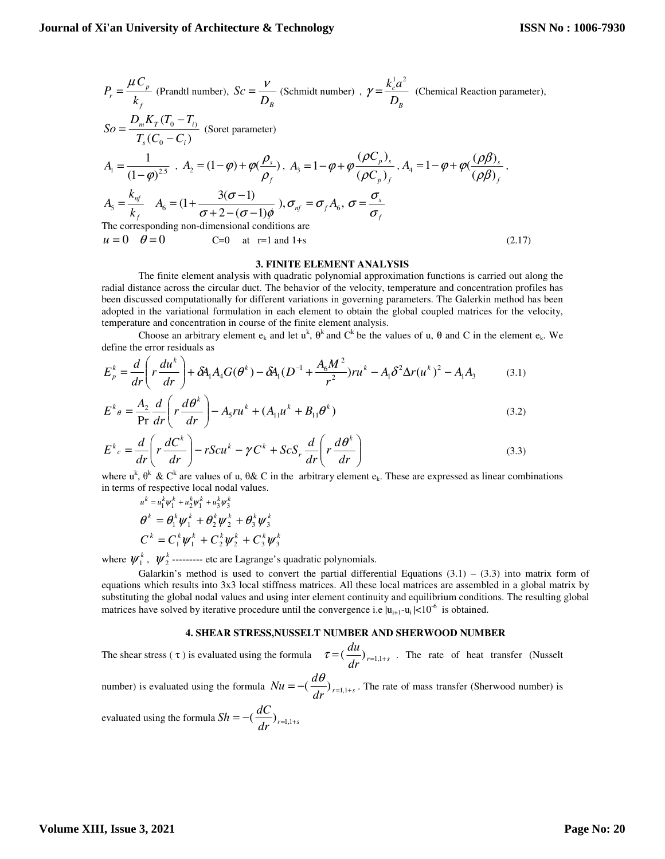$$
P_r = \frac{\mu C_p}{k_f} \text{ (Prandtl number)}, \ S_C = \frac{\nu}{D_B} \text{ (Schmidt number)}, \ \gamma = \frac{k_c^1 a^2}{D_B} \text{ (Chemical Reaction parameter)},
$$
\n
$$
So = \frac{D_m K_T (T_0 - T_i)}{T_s (C_0 - C_i)} \text{ (Soret parameter)}
$$
\n
$$
A_1 = \frac{1}{(1 - \varphi)^{2.5}}, \ A_2 = (1 - \varphi) + \varphi (\frac{\rho_s}{\rho_f}), \ A_3 = 1 - \varphi + \varphi (\frac{\varphi C_p}{\varphi C_p})_f, \ A_4 = 1 - \varphi + \varphi (\frac{\varphi \beta)_s}{(\varphi \beta)_f},
$$
\n
$$
A_5 = \frac{k_{nf}}{k_f} \quad A_6 = (1 + \frac{3(\sigma - 1)}{\sigma + 2 - (\sigma - 1)\varphi}), \sigma_{nf} = \sigma_f A_6, \ \sigma = \frac{\sigma_s}{\sigma_f}
$$
\nThe corresponding non-dimensional conditions are  
\n
$$
u = 0 \quad \theta = 0 \qquad C = 0 \quad \text{at } r = 1 \text{ and } 1 + s \tag{2.17}
$$

#### **3. FINITE ELEMENT ANALYSIS**

The finite element analysis with quadratic polynomial approximation functions is carried out along the radial distance across the circular duct. The behavior of the velocity, temperature and concentration profiles has been discussed computationally for different variations in governing parameters. The Galerkin method has been adopted in the variational formulation in each element to obtain the global coupled matrices for the velocity, temperature and concentration in course of the finite element analysis.

Choose an arbitrary element  $e_k$  and let  $u^k$ ,  $\theta^k$  and  $C^k$  be the values of u,  $\theta$  and C in the element  $e_k$ . We define the error residuals as

$$
E_p^k = \frac{d}{dr} \left( r \frac{du^k}{dr} \right) + \delta A_1 A_4 G(\theta^k) - \delta A_1 (D^{-1} + \frac{A_6 M^2}{r^2}) r u^k - A_1 \delta^2 \Delta r (u^k)^2 - A_1 A_3 \tag{3.1}
$$

$$
E^{k}{}_{\theta} = \frac{A_{2}}{\Pr} \frac{d}{dr} \left( r \frac{d\theta^{k}}{dr} \right) - A_{5} r u^{k} + (A_{11} u^{k} + B_{11} \theta^{k})
$$
\n(3.2)

$$
E^{k}{}_{c} = \frac{d}{dr} \left( r \frac{dC^{k}}{dr} \right) - rScu^{k} - \gamma C^{k} + ScS_{r} \frac{d}{dr} \left( r \frac{d\theta^{k}}{dr} \right)
$$
(3.3)

where  $u^k$ ,  $\theta^k \& C^k$  are values of u,  $\theta \& C$  in the arbitrary element  $e_k$ . These are expressed as linear combinations in terms of respective local nodal values.

$$
u^{k} = u_{1}^{k} \psi_{1}^{k} + u_{2}^{k} \psi_{1}^{k} + u_{3}^{k} \psi_{3}^{k}
$$
  
\n
$$
\theta^{k} = \theta_{1}^{k} \psi_{1}^{k} + \theta_{2}^{k} \psi_{2}^{k} + \theta_{3}^{k} \psi_{3}^{k}
$$
  
\n
$$
C^{k} = C_{1}^{k} \psi_{1}^{k} + C_{2}^{k} \psi_{2}^{k} + C_{3}^{k} \psi_{3}^{k}
$$

where  $\psi_1^k$ ,  $\psi_2^k$ --------- etc are Lagrange's quadratic polynomials.

Galarkin's method is used to convert the partial differential Equations  $(3.1) - (3.3)$  into matrix form of equations which results into 3x3 local stiffness matrices. All these local matrices are assembled in a global matrix by substituting the global nodal values and using inter element continuity and equilibrium conditions. The resulting global matrices have solved by iterative procedure until the convergence i.e  $|u_{i+1}-u_i| < 10^{-6}$  is obtained.

# **4. SHEAR STRESS,NUSSELT NUMBER AND SHERWOOD NUMBER**

The shear stress ( $\tau$ ) is evaluated using the formula  $\tau = \left(\frac{d\tau}{dr}\right)_{r=1,1+s}$  $\tau = \left(\frac{du}{du}\right)_{t=1,1+s}$ . The rate of heat transfer (Nusselt

number) is evaluated using the formula  $Nu = -\left(\frac{m}{dr}\right)_{r=1,1+s}$  $Nu = -\left(\frac{d\theta}{dr}\right)_{r=1,1+s}$ . The rate of mass transfer (Sherwood number) is

evaluated using the formula  $Sh = -(\frac{dC}{dr})_{r=1,1+s}$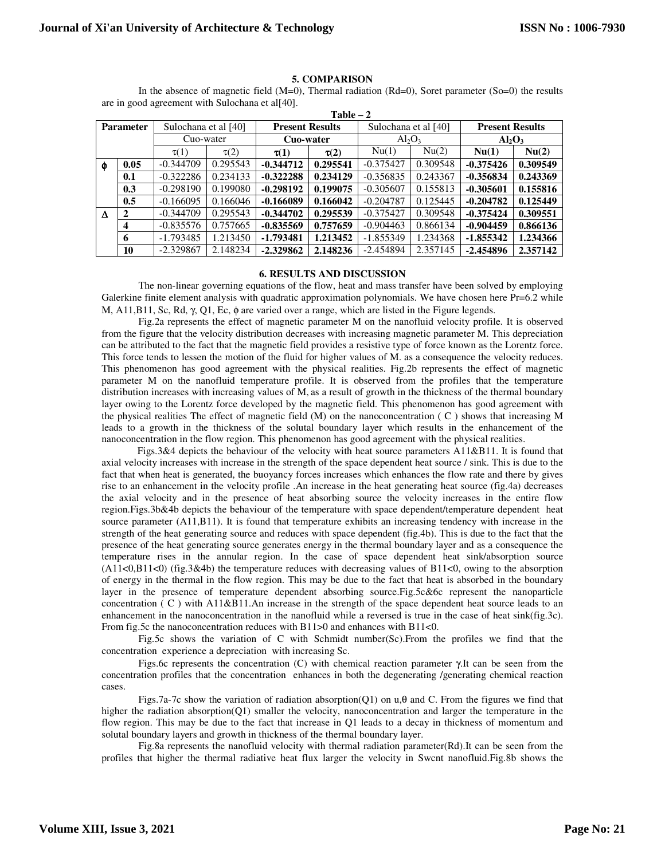## **5. COMPARISON**

In the absence of magnetic field (M=0), Thermal radiation (Rd=0), Soret parameter (So=0) the results are in good agreement with Sulochana et al[40]. **Table – 2 2** 

| 1 apie – 2       |              |                      |           |                        |           |                      |          |                        |          |
|------------------|--------------|----------------------|-----------|------------------------|-----------|----------------------|----------|------------------------|----------|
| <b>Parameter</b> |              | Sulochana et al [40] |           | <b>Present Results</b> |           | Sulochana et al [40] |          | <b>Present Results</b> |          |
|                  |              | Cuo-water            |           | Cuo-water              |           | $Al_2O_3$            |          | $Al_2O_3$              |          |
|                  |              | $\tau(1)$            | $\tau(2)$ | $\tau(1)$              | $\tau(2)$ | Nu(1)                | Nu(2)    | Nu(1)                  | Nu(2)    |
| Φ                | 0.05         | $-0.344709$          | 0.295543  | $-0.344712$            | 0.295541  | $-0.375427$          | 0.309548 | $-0.375426$            | 0.309549 |
|                  | 0.1          | $-0.322286$          | 0.234133  | $-0.322288$            | 0.234129  | $-0.356835$          | 0.243367 | $-0.356834$            | 0.243369 |
|                  | 0.3          | $-0.298190$          | 0.199080  | $-0.298192$            | 0.199075  | $-0.305607$          | 0.155813 | $-0.305601$            | 0.155816 |
|                  | 0.5          | $-0.166095$          | 0.166046  | $-0.166089$            | 0.166042  | $-0.204787$          | 0.125445 | $-0.204782$            | 0.125449 |
| Δ                | $\mathbf{2}$ | $-0.344709$          | 0.295543  | $-0.344702$            | 0.295539  | $-0.375427$          | 0.309548 | $-0.375424$            | 0.309551 |
|                  | 4            | $-0.835576$          | 0.757665  | $-0.835569$            | 0.757659  | $-0.904463$          | 0.866134 | $-0.904459$            | 0.866136 |
|                  | 6            | $-1.793485$          | 1.213450  | -1.793481              | 1.213452  | $-1.855349$          | 1.234368 | $-1.855342$            | 1.234366 |
|                  | 10           | $-2.329867$          | 2.148234  | $-2.329862$            | 2.148236  | $-2.454894$          | 2.357145 | $-2.454896$            | 2.357142 |

#### **6. RESULTS AND DISCUSSION**

The non-linear governing equations of the flow, heat and mass transfer have been solved by employing Galerkine finite element analysis with quadratic approximation polynomials. We have chosen here Pr=6.2 while M, A11,B11, Sc, Rd, γ, Q1, Ec, φ are varied over a range, which are listed in the Figure legends.

 Fig.2a represents the effect of magnetic parameter M on the nanofluid velocity profile. It is observed from the figure that the velocity distribution decreases with increasing magnetic parameter M. This depreciation can be attributed to the fact that the magnetic field provides a resistive type of force known as the Lorentz force. This force tends to lessen the motion of the fluid for higher values of M. as a consequence the velocity reduces. This phenomenon has good agreement with the physical realities. Fig.2b represents the effect of magnetic parameter M on the nanofluid temperature profile. It is observed from the profiles that the temperature distribution increases with increasing values of M, as a result of growth in the thickness of the thermal boundary layer owing to the Lorentz force developed by the magnetic field. This phenomenon has good agreement with the physical realities The effect of magnetic field (M) on the nanoconcentration ( C ) shows that increasing M leads to a growth in the thickness of the solutal boundary layer which results in the enhancement of the nanoconcentration in the flow region. This phenomenon has good agreement with the physical realities.

 Figs.3&4 depicts the behaviour of the velocity with heat source parameters A11&B11. It is found that axial velocity increases with increase in the strength of the space dependent heat source / sink. This is due to the fact that when heat is generated, the buoyancy forces increases which enhances the flow rate and there by gives rise to an enhancement in the velocity profile .An increase in the heat generating heat source (fig.4a) decreases the axial velocity and in the presence of heat absorbing source the velocity increases in the entire flow region.Figs.3b&4b depicts the behaviour of the temperature with space dependent/temperature dependent heat source parameter (A11,B11). It is found that temperature exhibits an increasing tendency with increase in the strength of the heat generating source and reduces with space dependent (fig.4b). This is due to the fact that the presence of the heat generating source generates energy in the thermal boundary layer and as a consequence the temperature rises in the annular region. In the case of space dependent heat sink/absorption source  $(A11<0,B11<0)$  (fig.3&4b) the temperature reduces with decreasing values of B11 $<0$ , owing to the absorption of energy in the thermal in the flow region. This may be due to the fact that heat is absorbed in the boundary layer in the presence of temperature dependent absorbing source.Fig.5c&6c represent the nanoparticle concentration  $(C)$  with A11&B11.An increase in the strength of the space dependent heat source leads to an enhancement in the nanoconcentration in the nanofluid while a reversed is true in the case of heat sink(fig.3c). From fig.5c the nanoconcentration reduces with B11>0 and enhances with B11<0.

Fig.5c shows the variation of C with Schmidt number(Sc).From the profiles we find that the concentration experience a depreciation with increasing Sc.

Figs.6c represents the concentration (C) with chemical reaction parameter γ.It can be seen from the concentration profiles that the concentration enhances in both the degenerating /generating chemical reaction cases.

Figs.7a-7c show the variation of radiation absorption( $Q1$ ) on u, $\theta$  and C. From the figures we find that higher the radiation absorption(Q1) smaller the velocity, nanoconcentration and larger the temperature in the flow region. This may be due to the fact that increase in Q1 leads to a decay in thickness of momentum and solutal boundary layers and growth in thickness of the thermal boundary layer.

Fig.8a represents the nanofluid velocity with thermal radiation parameter(Rd).It can be seen from the profiles that higher the thermal radiative heat flux larger the velocity in Swcnt nanofluid.Fig.8b shows the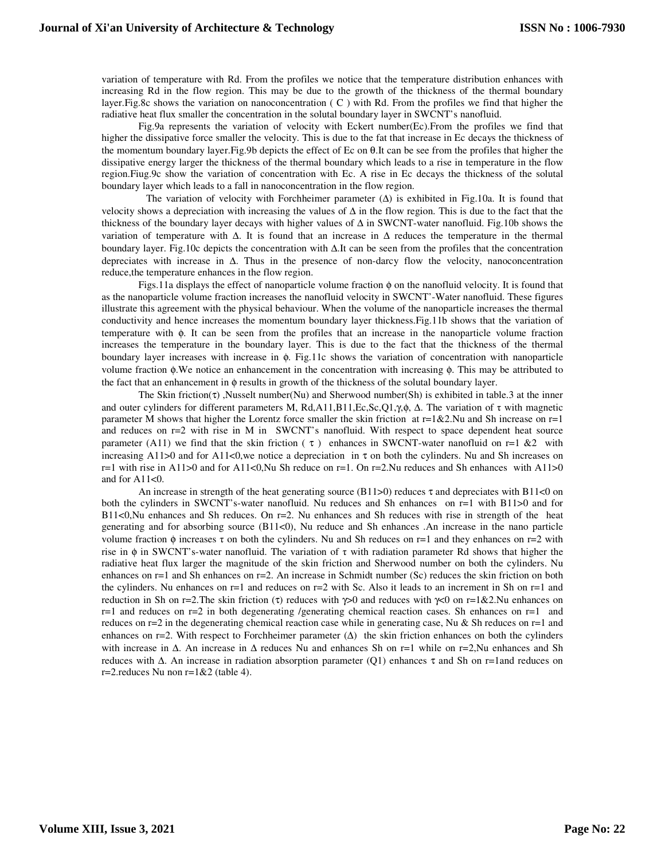variation of temperature with Rd. From the profiles we notice that the temperature distribution enhances with increasing Rd in the flow region. This may be due to the growth of the thickness of the thermal boundary layer.Fig.8c shows the variation on nanoconcentration ( C ) with Rd. From the profiles we find that higher the radiative heat flux smaller the concentration in the solutal boundary layer in SWCNT's nanofluid.

Fig.9a represents the variation of velocity with Eckert number(Ec).From the profiles we find that higher the dissipative force smaller the velocity. This is due to the fat that increase in Ec decays the thickness of the momentum boundary layer.Fig.9b depicts the effect of Ec on θ.It can be see from the profiles that higher the dissipative energy larger the thickness of the thermal boundary which leads to a rise in temperature in the flow region.Fiug.9c show the variation of concentration with Ec. A rise in Ec decays the thickness of the solutal boundary layer which leads to a fall in nanoconcentration in the flow region.

The variation of velocity with Forchheimer parameter  $(\Delta)$  is exhibited in Fig.10a. It is found that velocity shows a depreciation with increasing the values of  $\Delta$  in the flow region. This is due to the fact that the thickness of the boundary layer decays with higher values of ∆ in SWCNT-water nanofluid. Fig.10b shows the variation of temperature with  $\Delta$ . It is found that an increase in  $\Delta$  reduces the temperature in the thermal boundary layer. Fig.10c depicts the concentration with ∆.It can be seen from the profiles that the concentration depreciates with increase in ∆. Thus in the presence of non-darcy flow the velocity, nanoconcentration reduce,the temperature enhances in the flow region.

Figs.11a displays the effect of nanoparticle volume fraction φ on the nanofluid velocity. It is found that as the nanoparticle volume fraction increases the nanofluid velocity in SWCNT'-Water nanofluid. These figures illustrate this agreement with the physical behaviour. When the volume of the nanoparticle increases the thermal conductivity and hence increases the momentum boundary layer thickness.Fig.11b shows that the variation of temperature with φ. It can be seen from the profiles that an increase in the nanoparticle volume fraction increases the temperature in the boundary layer. This is due to the fact that the thickness of the thermal boundary layer increases with increase in φ. Fig.11c shows the variation of concentration with nanoparticle volume fraction φ.We notice an enhancement in the concentration with increasing φ. This may be attributed to the fact that an enhancement in  $\phi$  results in growth of the thickness of the solutal boundary layer.

The Skin friction(τ) ,Nusselt number(Nu) and Sherwood number(Sh) is exhibited in table.3 at the inner and outer cylinders for different parameters M, Rd,A11,B11,Ec,Sc,Q1,γ, $\phi$ ,  $\Delta$ . The variation of  $\tau$  with magnetic parameter M shows that higher the Lorentz force smaller the skin friction at r=1&2.Nu and Sh increase on r=1 and reduces on r=2 with rise in M in SWCNT's nanofluid. With respect to space dependent heat source parameter (A11) we find that the skin friction ( $\tau$ ) enhances in SWCNT-water nanofluid on r=1 &2 with increasing A11 $>0$  and for A11 $< 0$ , we notice a depreciation in  $\tau$  on both the cylinders. Nu and Sh increases on r=1 with rise in A11>0 and for A11<0,Nu Sh reduce on r=1. On r=2.Nu reduces and Sh enhances with A11>0 and for  $A11<0$ .

An increase in strength of the heat generating source  $(B11>0)$  reduces  $\tau$  and depreciates with B11<0 on both the cylinders in SWCNT's-water nanofluid. Nu reduces and Sh enhances on r=1 with B11>0 and for B11<0,Nu enhances and Sh reduces. On r=2. Nu enhances and Sh reduces with rise in strength of the heat generating and for absorbing source (B11<0), Nu reduce and Sh enhances .An increase in the nano particle volume fraction  $\phi$  increases  $\tau$  on both the cylinders. Nu and Sh reduces on r=1 and they enhances on r=2 with rise in  $\phi$  in SWCNT's-water nanofluid. The variation of  $\tau$  with radiation parameter Rd shows that higher the radiative heat flux larger the magnitude of the skin friction and Sherwood number on both the cylinders. Nu enhances on r=1 and Sh enhances on r=2. An increase in Schmidt number (Sc) reduces the skin friction on both the cylinders. Nu enhances on r=1 and reduces on r=2 with Sc. Also it leads to an increment in Sh on r=1 and reduction in Sh on r=2. The skin friction (τ) reduces with  $\gamma > 0$  and reduces with  $\gamma < 0$  on r=1&2. Nu enhances on  $r=1$  and reduces on  $r=2$  in both degenerating /generating chemical reaction cases. Sh enhances on  $r=1$  and reduces on r=2 in the degenerating chemical reaction case while in generating case, Nu & Sh reduces on r=1 and enhances on r=2. With respect to Forchheimer parameter  $(\Delta)$  the skin friction enhances on both the cylinders with increase in ∆. An increase in ∆ reduces Nu and enhances Sh on r=1 while on r=2,Nu enhances and Sh reduces with Δ. An increase in radiation absorption parameter (Q1) enhances  $\tau$  and Sh on r=1and reduces on r=2.reduces Nu non  $r=1&2$  (table 4).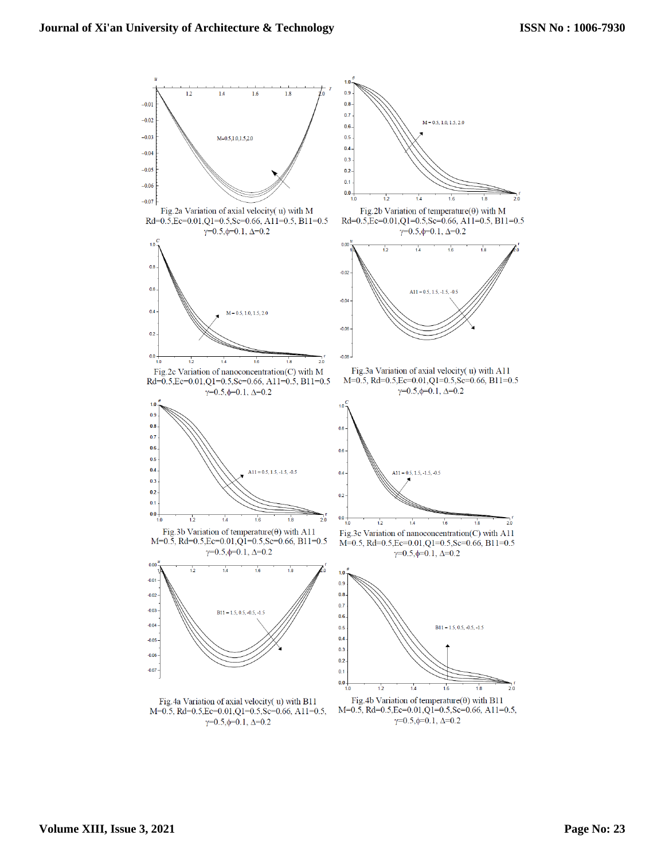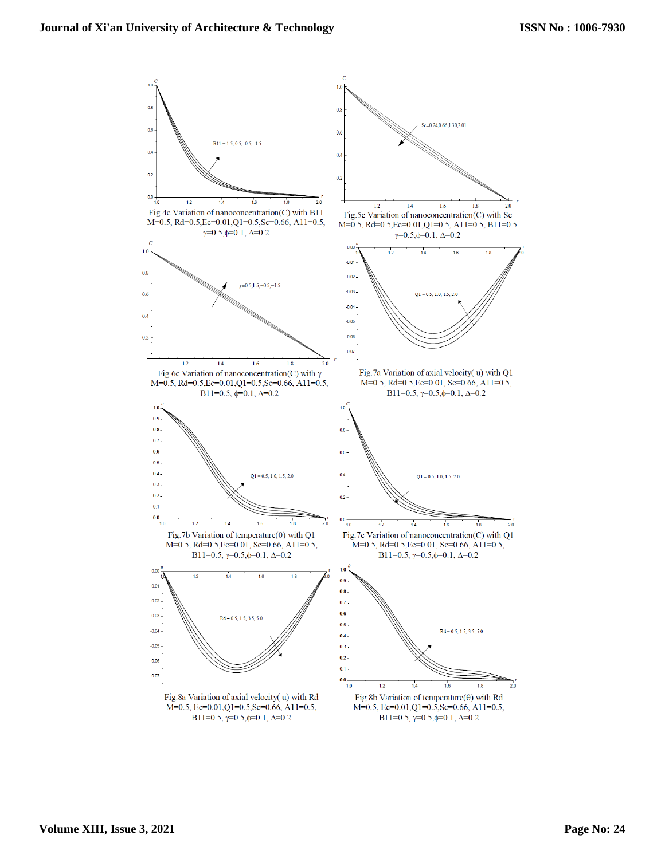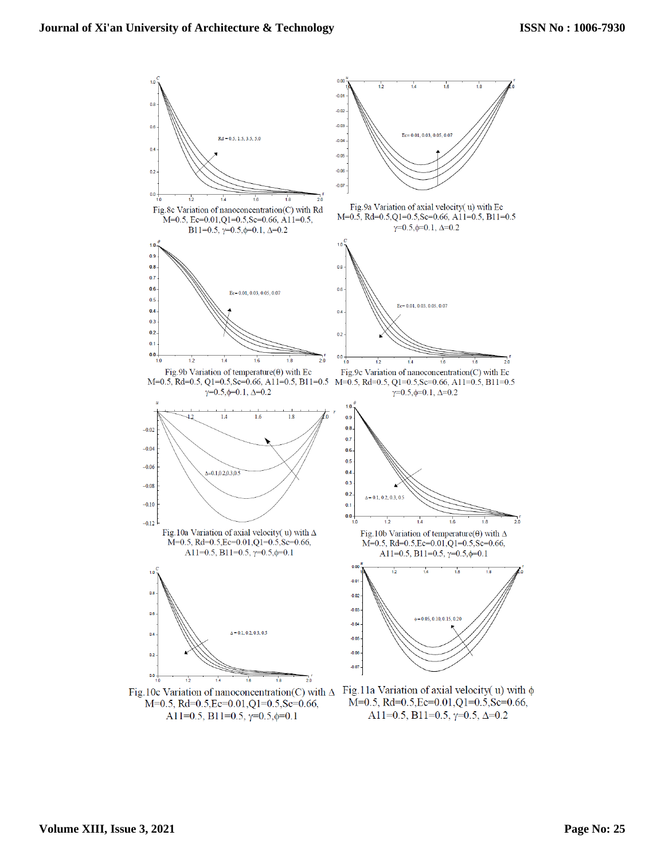

A11=0.5, B11=0.5,  $\gamma$ =0.5,  $\Delta$ =0.2

A11=0.5, B11=0.5,  $\gamma$ =0.5, $\phi$ =0.1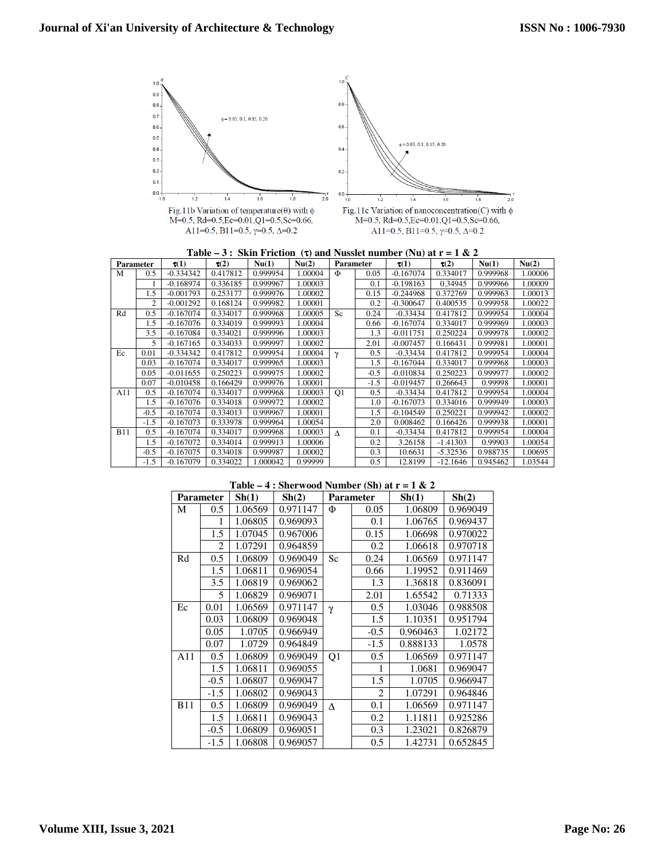

**Table – 3 : Skin Friction (**τ**) and Nusslet number (Nu) at r = 1 & 2** 

| Parameter  |                | $\tau(1)$   | $\tau(2)$ | Nu(1)    | Nu(2)   | <b>Parameter</b> |        | $\tau(1)$   | $\tau(2)$  | Nu(1)    | Nu(2)   |
|------------|----------------|-------------|-----------|----------|---------|------------------|--------|-------------|------------|----------|---------|
| M          | 0.5            | $-0.334342$ | 0.417812  | 0.999954 | 1.00004 | Φ                | 0.05   | $-0.167074$ | 0.334017   | 0.999968 | 1.00006 |
|            |                | $-0.168974$ | 0.336185  | 0.999967 | 1.00003 |                  | 0.1    | $-0.198163$ | 0.34945    | 0.999966 | 1.00009 |
|            | 1.5            | $-0.001793$ | 0.253177  | 0.999976 | 1.00002 |                  | 0.15   | $-0.244968$ | 0.372769   | 0.999963 | 1.00013 |
|            | $\overline{2}$ | $-0.001292$ | 0.168124  | 0.999982 | 1.00001 |                  | 0.2    | $-0.300647$ | 0.400535   | 0.999958 | 1.00022 |
| Rd         | 0.5            | $-0.167074$ | 0.334017  | 0.999968 | 1.00005 | Sc               | 0.24   | $-0.33434$  | 0.417812   | 0.999954 | 1.00004 |
|            | 1.5            | $-0.167076$ | 0.334019  | 0.999993 | 1.00004 |                  | 0.66   | $-0.167074$ | 0.334017   | 0.999969 | 1.00003 |
|            | 3.5            | $-0.167084$ | 0.334021  | 0.999996 | 1.00003 |                  | 1.3    | $-0.011751$ | 0.250224   | 0.999978 | 1.00002 |
|            | 5              | $-0.167165$ | 0.334033  | 0.999997 | 1.00002 |                  | 2.01   | $-0.007457$ | 0.166431   | 0.999981 | 1.00001 |
| Ec         | 0.01           | $-0.334342$ | 0.417812  | 0.999954 | 1.00004 | $\gamma$         | 0.5    | $-0.33434$  | 0.417812   | 0.999954 | 1.00004 |
|            | 0.03           | $-0.167074$ | 0.334017  | 0.999965 | 1.00003 |                  | 1.5    | $-0.167044$ | 0.334017   | 0.999968 | 1.00003 |
|            | 0.05           | $-0.011655$ | 0.250223  | 0.999975 | 1.00002 |                  | $-0.5$ | $-0.010834$ | 0.250223   | 0.999977 | 1.00002 |
|            | 0.07           | $-0.010458$ | 0.166429  | 0.999976 | 1.00001 |                  | $-1.5$ | $-0.019457$ | 0.266643   | 0.99998  | 1.00001 |
| A11        | 0.5            | $-0.167074$ | 0.334017  | 0.999968 | 1.00003 | Q1               | 0.5    | $-0.33434$  | 0.417812   | 0.999954 | 1.00004 |
|            | 1.5            | $-0.167076$ | 0.334018  | 0.999972 | 1.00002 |                  | 1.0    | $-0.167073$ | 0.334016   | 0.999949 | 1.00003 |
|            | $-0.5$         | $-0.167074$ | 0.334013  | 0.999967 | 1.00001 |                  | 1.5    | $-0.104549$ | 0.250221   | 0.999942 | 1.00002 |
|            | $-1.5$         | $-0.167073$ | 0.333978  | 0.999964 | 1.00054 |                  | 2.0    | 0.008462    | 0.166426   | 0.999938 | 1.00001 |
| <b>B11</b> | 0.5            | $-0.167074$ | 0.334017  | 0.999968 | 1.00003 | $\Lambda$        | 0.1    | $-0.33434$  | 0.417812   | 0.999954 | 1.00004 |
|            | 1.5            | $-0.167072$ | 0.334014  | 0.999913 | 1.00006 |                  | 0.2    | 3.26158     | $-1.41303$ | 0.99903  | 1.00054 |
|            | $-0.5$         | $-0.167075$ | 0.334018  | 0.999987 | 1.00002 |                  | 0.3    | 10.6631     | $-5.32536$ | 0.988735 | 1.00695 |
|            | $-1.5$         | $-0.167079$ | 0.334022  | 1.000042 | 0.99999 |                  | 0.5    | 12.8199     | $-12.1646$ | 0.945462 | 1.03544 |

| <b>Parameter</b> |                | Sh(1)   | Sh(2)    | <b>Parameter</b> |                | Sh(1)    | Sh(2)    |
|------------------|----------------|---------|----------|------------------|----------------|----------|----------|
| M                | 0.5            | 1.06569 | 0.971147 | Φ                | 0.05           | 1.06809  | 0.969049 |
|                  |                | 1.06805 | 0.969093 |                  | 0.1            | 1.06765  | 0.969437 |
|                  | 1.5            | 1.07045 | 0.967006 |                  | 0.15           | 1.06698  | 0.970022 |
|                  | $\overline{2}$ | 1.07291 | 0.964859 |                  | 0.2            | 1.06618  | 0.970718 |
| Rd               | 0.5            | 1.06809 | 0.969049 | Sc               | 0.24           | 1.06569  | 0.971147 |
|                  | 1.5            | 1.06811 | 0.969054 |                  | 0.66           | 1.19952  | 0.911469 |
|                  | 3.5            | 1.06819 | 0.969062 |                  | 1.3            | 1.36818  | 0.836091 |
|                  | 5              | 1.06829 | 0.969071 |                  | 2.01           | 1.65542  | 0.71333  |
| Ec               | 0.01           | 1.06569 | 0.971147 | $\gamma$         | 0.5            | 1.03046  | 0.988508 |
|                  | 0.03           | 1.06809 | 0.969048 |                  | 1.5            | 1.10351  | 0.951794 |
|                  | 0.05           | 1.0705  | 0.966949 |                  | $-0.5$         | 0.960463 | 1.02172  |
|                  | 0.07           | 1.0729  | 0.964849 |                  | $-1.5$         | 0.888133 | 1.0578   |
| A11              | 0.5            | 1.06809 | 0.969049 | Q1               | 0.5            | 1.06569  | 0.971147 |
|                  | 1.5            | 1.06811 | 0.969055 |                  | 1              | 1.0681   | 0.969047 |
|                  | $-0.5$         | 1.06807 | 0.969047 |                  | 1.5            | 1.0705   | 0.966947 |
|                  | $-1.5$         | 1.06802 | 0.969043 |                  | $\overline{2}$ | 1.07291  | 0.964846 |
| <b>B11</b>       | 0.5            | 1.06809 | 0.969049 | Δ                | 0.1            | 1.06569  | 0.971147 |
|                  | 1.5            | 1.06811 | 0.969043 |                  | 0.2            | 1.11811  | 0.925286 |
|                  | $-0.5$         | 1.06809 | 0.969051 |                  | 0.3            | 1.23021  | 0.826879 |
|                  | $-1.5$         | 1.06808 | 0.969057 |                  | 0.5            | 1.42731  | 0.652845 |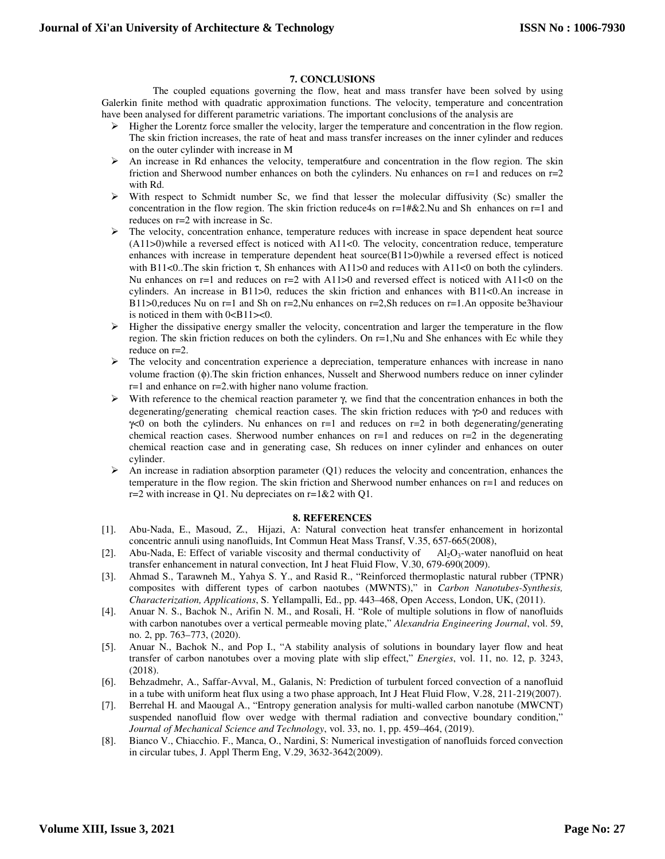# **7. CONCLUSIONS**

 The coupled equations governing the flow, heat and mass transfer have been solved by using Galerkin finite method with quadratic approximation functions. The velocity, temperature and concentration have been analysed for different parametric variations. The important conclusions of the analysis are

- $\triangleright$  Higher the Lorentz force smaller the velocity, larger the temperature and concentration in the flow region. The skin friction increases, the rate of heat and mass transfer increases on the inner cylinder and reduces on the outer cylinder with increase in M
- $\triangleright$  An increase in Rd enhances the velocity, temperat6ure and concentration in the flow region. The skin friction and Sherwood number enhances on both the cylinders. Nu enhances on  $r=1$  and reduces on  $r=2$ with Rd.
- With respect to Schmidt number Sc, we find that lesser the molecular diffusivity (Sc) smaller the concentration in the flow region. The skin friction reduce4s on  $r=1#&2$ . Nu and Sh enhances on  $r=1$  and reduces on r=2 with increase in Sc.
- $\triangleright$  The velocity, concentration enhance, temperature reduces with increase in space dependent heat source (A11>0)while a reversed effect is noticed with A11<0. The velocity, concentration reduce, temperature enhances with increase in temperature dependent heat source(B11>0)while a reversed effect is noticed with B11<0.. The skin friction  $\tau$ , Sh enhances with A11>0 and reduces with A11<0 on both the cylinders. Nu enhances on r=1 and reduces on r=2 with A11>0 and reversed effect is noticed with A11<0 on the cylinders. An increase in B11>0, reduces the skin friction and enhances with B11<0.An increase in B11>0,reduces Nu on r=1 and Sh on r=2,Nu enhances on r=2,Sh reduces on r=1.An opposite be3haviour is noticed in them with  $0 < B11 < 0$ .
- $\triangleright$  Higher the dissipative energy smaller the velocity, concentration and larger the temperature in the flow region. The skin friction reduces on both the cylinders. On r=1,Nu and She enhances with Ec while they reduce on r=2.
- $\triangleright$  The velocity and concentration experience a depreciation, temperature enhances with increase in nano volume fraction (φ).The skin friction enhances, Nusselt and Sherwood numbers reduce on inner cylinder r=1 and enhance on r=2.with higher nano volume fraction.
- $\triangleright$  With reference to the chemical reaction parameter γ, we find that the concentration enhances in both the degenerating/generating chemical reaction cases. The skin friction reduces with γ>0 and reduces with  $\gamma$ <0 on both the cylinders. Nu enhances on r=1 and reduces on r=2 in both degenerating/generating chemical reaction cases. Sherwood number enhances on  $r=1$  and reduces on  $r=2$  in the degenerating chemical reaction case and in generating case, Sh reduces on inner cylinder and enhances on outer cylinder.
- $\triangleright$  An increase in radiation absorption parameter (Q1) reduces the velocity and concentration, enhances the temperature in the flow region. The skin friction and Sherwood number enhances on r=1 and reduces on r=2 with increase in Q1. Nu depreciates on  $r=1\&2$  with Q1.

# **8. REFERENCES**

- [1]. Abu-Nada, E., Masoud, Z., Hijazi, A: Natural convection heat transfer enhancement in horizontal concentric annuli using nanofluids, Int Commun Heat Mass Transf, V.35, 657-665(2008),
- [2]. Abu-Nada, E: Effect of variable viscosity and thermal conductivity of  $\text{Al}_2\text{O}_3$ -water nanofluid on heat transfer enhancement in natural convection, Int J heat Fluid Flow, V.30, 679-690(2009).
- [3]. Ahmad S., Tarawneh M., Yahya S. Y., and Rasid R., "Reinforced thermoplastic natural rubber (TPNR) composites with different types of carbon naotubes (MWNTS)," in *Carbon Nanotubes-Synthesis, Characterization, Applications*, S. Yellampalli, Ed., pp. 443–468, Open Access, London, UK, (2011).
- [4]. Anuar N. S., Bachok N., Arifin N. M., and Rosali, H. "Role of multiple solutions in flow of nanofluids with carbon nanotubes over a vertical permeable moving plate," *Alexandria Engineering Journal*, vol. 59, no. 2, pp. 763–773, (2020).
- [5]. Anuar N., Bachok N., and Pop I., "A stability analysis of solutions in boundary layer flow and heat transfer of carbon nanotubes over a moving plate with slip effect," *Energies*, vol. 11, no. 12, p. 3243, (2018).
- [6]. Behzadmehr, A., Saffar-Avval, M., Galanis, N: Prediction of turbulent forced convection of a nanofluid in a tube with uniform heat flux using a two phase approach, Int J Heat Fluid Flow, V.28, 211-219(2007).
- [7]. Berrehal H. and Maougal A., "Entropy generation analysis for multi-walled carbon nanotube (MWCNT) suspended nanofluid flow over wedge with thermal radiation and convective boundary condition," *Journal of Mechanical Science and Technology*, vol. 33, no. 1, pp. 459–464, (2019).
- [8]. Bianco V., Chiacchio. F., Manca, O., Nardini, S: Numerical investigation of nanofluids forced convection in circular tubes, J. Appl Therm Eng, V.29, 3632-3642(2009).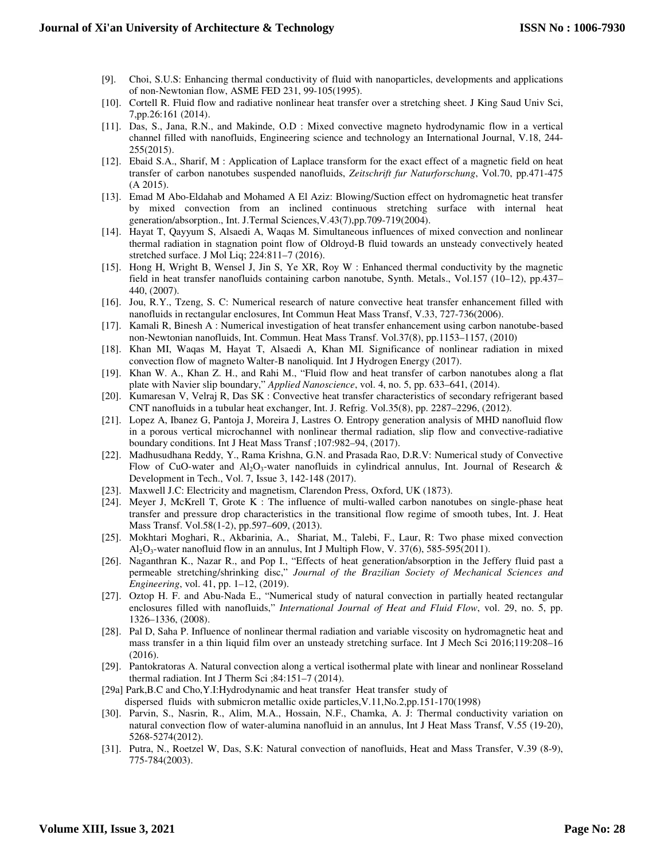- [9]. Choi, S.U.S: Enhancing thermal conductivity of fluid with nanoparticles, developments and applications of non-Newtonian flow, ASME FED 231, 99-105(1995).
- [10]. Cortell R. Fluid flow and radiative nonlinear heat transfer over a stretching sheet. J King Saud Univ Sci, 7,pp.26:161 (2014).
- [11]. Das, S., Jana, R.N., and Makinde, O.D : Mixed convective magneto hydrodynamic flow in a vertical channel filled with nanofluids, Engineering science and technology an International Journal, V.18, 244- 255(2015).
- [12]. Ebaid S.A., Sharif, M : Application of Laplace transform for the exact effect of a magnetic field on heat transfer of carbon nanotubes suspended nanofluids, *Zeitschrift fur Naturforschung*, Vol.70, pp.471-475 (A 2015).
- [13]. Emad M Abo-Eldahab and Mohamed A El Aziz: Blowing/Suction effect on hydromagnetic heat transfer by mixed convection from an inclined continuous stretching surface with internal heat generation/absorption., Int. J.Termal Sciences,V.43(7),pp.709-719(2004).
- [14]. Hayat T, Qayyum S, Alsaedi A, Waqas M. Simultaneous influences of mixed convection and nonlinear thermal radiation in stagnation point flow of Oldroyd-B fluid towards an unsteady convectively heated stretched surface. J Mol Liq; 224:811–7 (2016).
- [15]. Hong H, Wright B, Wensel J, Jin S, Ye XR, Roy W : Enhanced thermal conductivity by the magnetic field in heat transfer nanofluids containing carbon nanotube, Synth. Metals., Vol.157 (10–12), pp.437– 440, (2007).
- [16]. Jou, R.Y., Tzeng, S. C: Numerical research of nature convective heat transfer enhancement filled with nanofluids in rectangular enclosures, Int Commun Heat Mass Transf, V.33, 727-736(2006).
- [17]. Kamali R, Binesh A : Numerical investigation of heat transfer enhancement using carbon nanotube-based non-Newtonian nanofluids, Int. Commun. Heat Mass Transf. Vol.37(8), pp.1153–1157, (2010)
- [18]. Khan MI, Waqas M, Hayat T, Alsaedi A, Khan MI. Significance of nonlinear radiation in mixed convection flow of magneto Walter-B nanoliquid. Int J Hydrogen Energy (2017).
- [19]. Khan W. A., Khan Z. H., and Rahi M., "Fluid flow and heat transfer of carbon nanotubes along a flat plate with Navier slip boundary," *Applied Nanoscience*, vol. 4, no. 5, pp. 633–641, (2014).
- [20]. Kumaresan V, Velraj R, Das SK : Convective heat transfer characteristics of secondary refrigerant based CNT nanofluids in a tubular heat exchanger, Int. J. Refrig. Vol.35(8), pp. 2287–2296, (2012).
- [21]. Lopez A, Ibanez G, Pantoja J, Moreira J, Lastres O. Entropy generation analysis of MHD nanofluid flow in a porous vertical microchannel with nonlinear thermal radiation, slip flow and convective-radiative boundary conditions. Int J Heat Mass Transf ;107:982–94, (2017).
- [22]. Madhusudhana Reddy, Y., Rama Krishna, G.N. and Prasada Rao, D.R.V: Numerical study of Convective Flow of CuO-water and  $Al_2O_3$ -water nanofluids in cylindrical annulus, Int. Journal of Research & Development in Tech., Vol. 7, Issue 3, 142-148 (2017).
- [23]. Maxwell J.C: Electricity and magnetism, Clarendon Press, Oxford, UK (1873).
- [24]. Meyer J, McKrell T, Grote K : The influence of multi-walled carbon nanotubes on single-phase heat transfer and pressure drop characteristics in the transitional flow regime of smooth tubes, Int. J. Heat Mass Transf. Vol.58(1-2), pp.597–609, (2013).
- [25]. Mokhtari Moghari, R., Akbarinia, A., Shariat, M., Talebi, F., Laur, R: Two phase mixed convection  $Al_2O_3$ -water nanofluid flow in an annulus, Int J Multiph Flow, V. 37(6), 585-595(2011).
- [26]. Naganthran K., Nazar R., and Pop I., "Effects of heat generation/absorption in the Jeffery fluid past a permeable stretching/shrinking disc," *Journal of the Brazilian Society of Mechanical Sciences and Engineering*, vol. 41, pp. 1–12, (2019).
- [27]. Oztop H. F. and Abu-Nada E., "Numerical study of natural convection in partially heated rectangular enclosures filled with nanofluids," *International Journal of Heat and Fluid Flow*, vol. 29, no. 5, pp. 1326–1336, (2008).
- [28]. Pal D, Saha P. Influence of nonlinear thermal radiation and variable viscosity on hydromagnetic heat and mass transfer in a thin liquid film over an unsteady stretching surface. Int J Mech Sci 2016;119:208–16 (2016).
- [29]. Pantokratoras A. Natural convection along a vertical isothermal plate with linear and nonlinear Rosseland thermal radiation. Int J Therm Sci ;84:151–7 (2014).
- [29a] Park, B.C and Cho, Y.I: Hydrodynamic and heat transfer Heat transfer study of dispersed fluids with submicron metallic oxide particles,V.11,No.2,pp.151-170(1998)
- [30]. Parvin, S., Nasrin, R., Alim, M.A., Hossain, N.F., Chamka, A. J: Thermal conductivity variation on natural convection flow of water-alumina nanofluid in an annulus, Int J Heat Mass Transf, V.55 (19-20), 5268-5274(2012).
- [31]. Putra, N., Roetzel W, Das, S.K: Natural convection of nanofluids, Heat and Mass Transfer, V.39 (8-9), 775-784(2003).